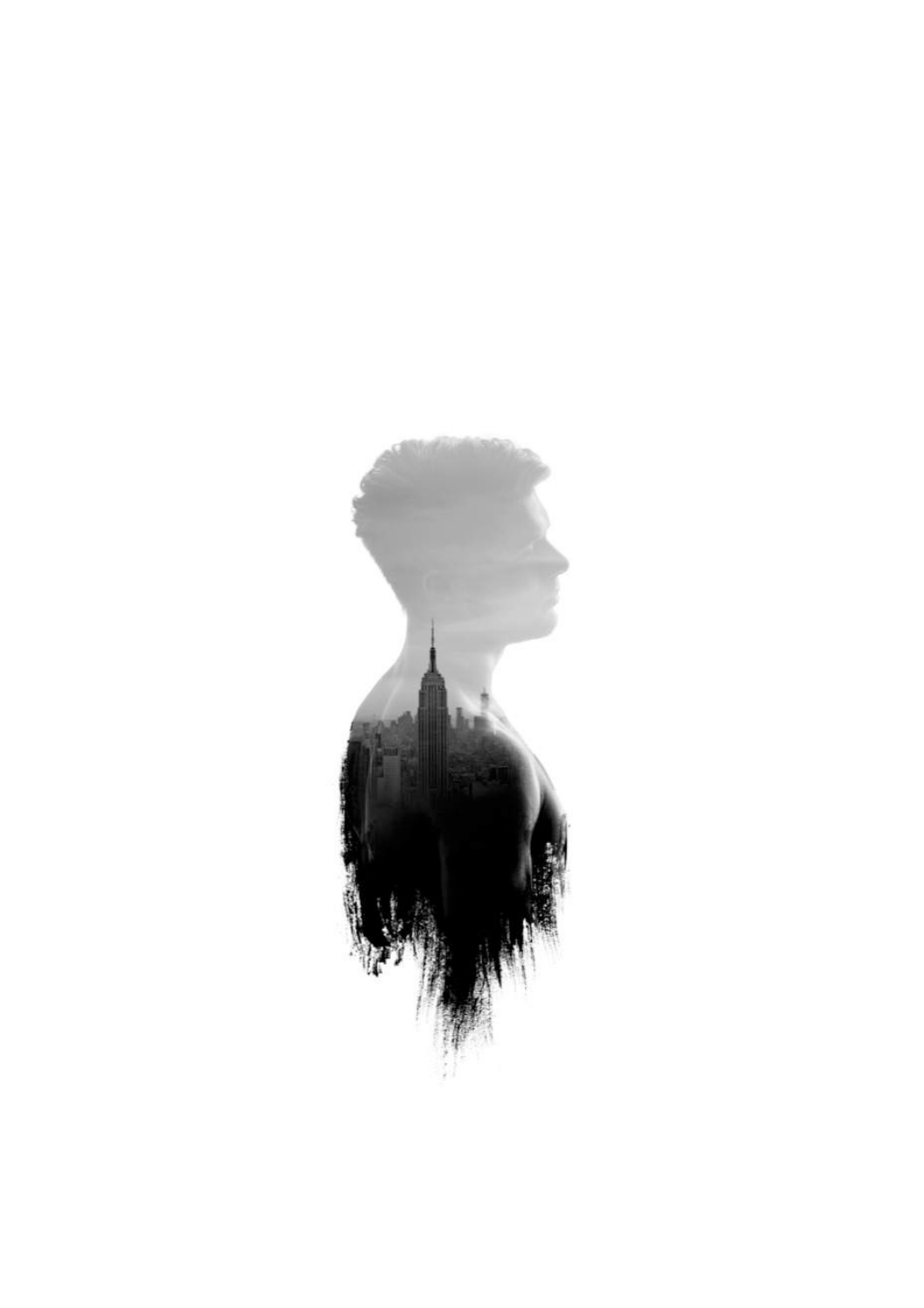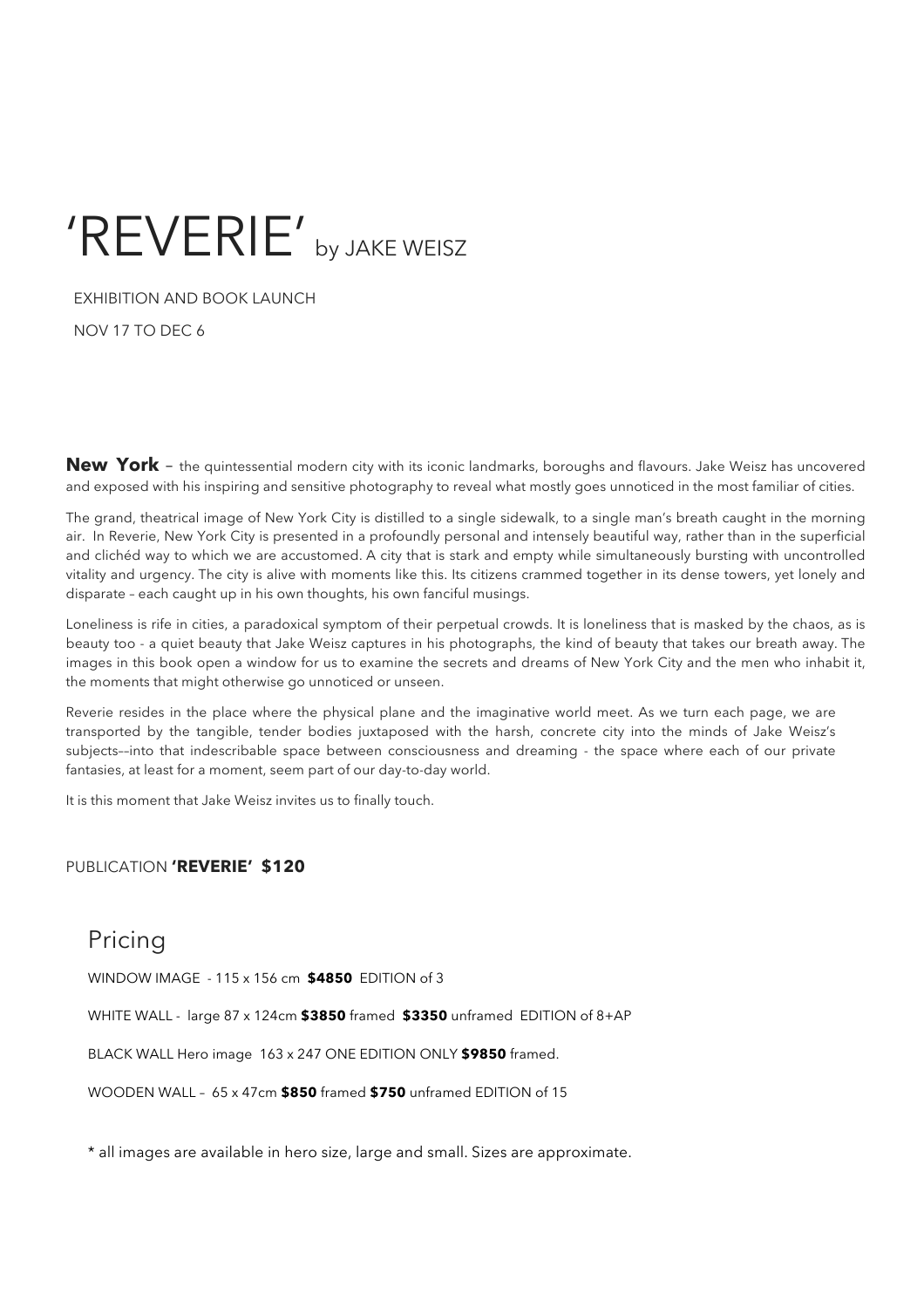## 'REVERIE' by JAKE WEISZ

EXHIBITION AND BOOK LAUNCH

NOV 17 TO DEC 6

**New York** – the quintessential modern city with its iconic landmarks, boroughs and flavours. Jake Weisz has uncovered and exposed with his inspiring and sensitive photography to reveal what mostly goes unnoticed in the most familiar of cities.

The grand, theatrical image of New York City is distilled to a single sidewalk, to a single man's breath caught in the morning air. In Reverie, New York City is presented in a profoundly personal and intensely beautiful way, rather than in the superficial and clichéd way to which we are accustomed. A city that is stark and empty while simultaneously bursting with uncontrolled vitality and urgency. The city is alive with moments like this. Its citizens crammed together in its dense towers, yet lonely and disparate – each caught up in his own thoughts, his own fanciful musings.

Loneliness is rife in cities, a paradoxical symptom of their perpetual crowds. It is loneliness that is masked by the chaos, as is beauty too - a quiet beauty that Jake Weisz captures in his photographs, the kind of beauty that takes our breath away. The images in this book open a window for us to examine the secrets and dreams of New York City and the men who inhabit it, the moments that might otherwise go unnoticed or unseen.

Reverie resides in the place where the physical plane and the imaginative world meet. As we turn each page, we are transported by the tangible, tender bodies juxtaposed with the harsh, concrete city into the minds of Jake Weisz's subjects––into that indescribable space between consciousness and dreaming - the space where each of our private fantasies, at least for a moment, seem part of our day-to-day world.

It is this moment that Jake Weisz invites us to finally touch.

## PUBLICATION **'REVERIE' \$120**

## Pricing

WINDOW IMAGE - 115 x 156 cm **\$4850** EDITION of 3

WHITE WALL - large 87 x 124cm **\$3850** framed **\$3350** unframed EDITION of 8+AP

BLACK WALL Hero image 163 x 247 ONE EDITION ONLY **\$9850** framed.

WOODEN WALL – 65 x 47cm **\$850** framed **\$750** unframed EDITION of 15

\* all images are available in hero size, large and small. Sizes are approximate.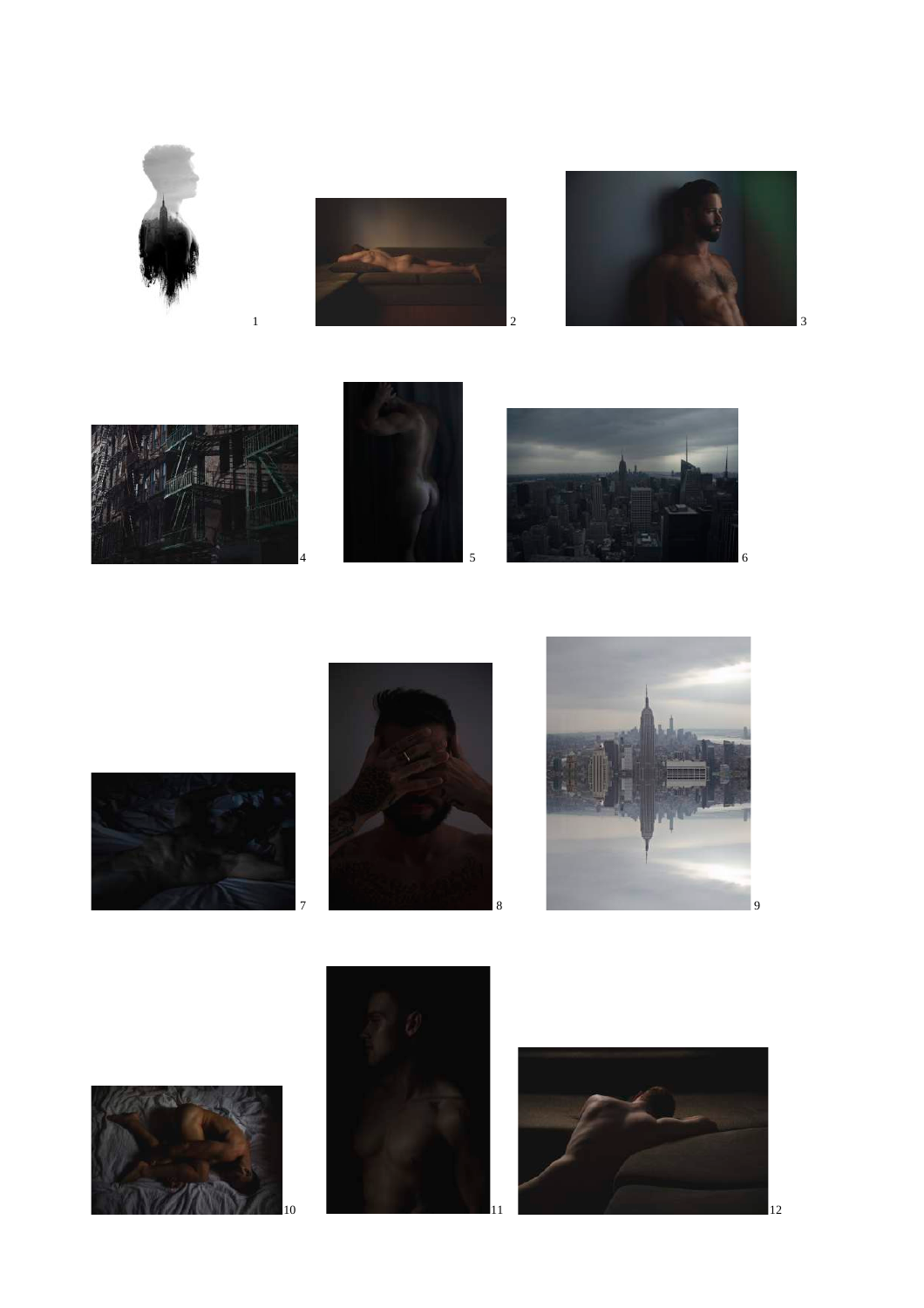

















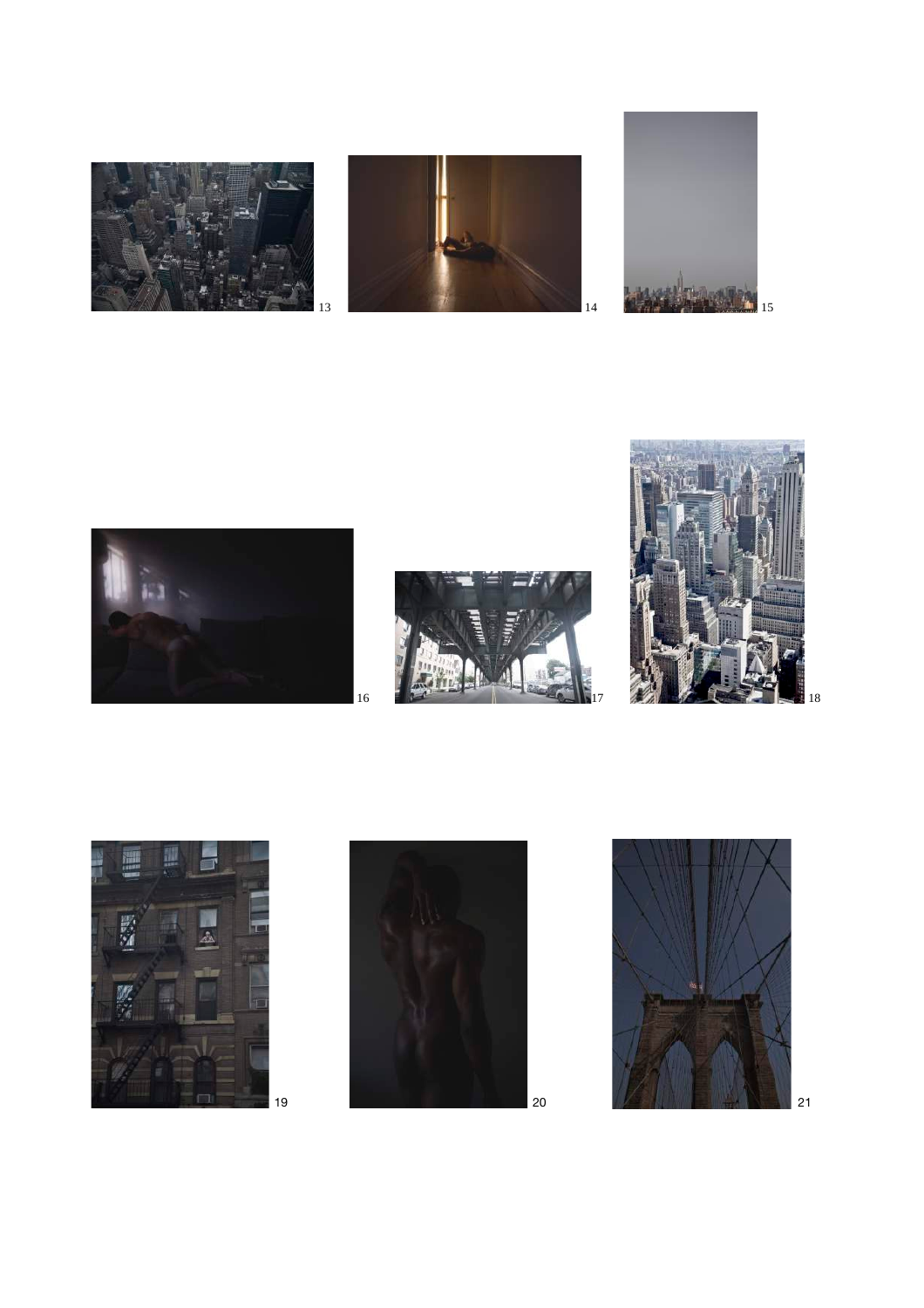